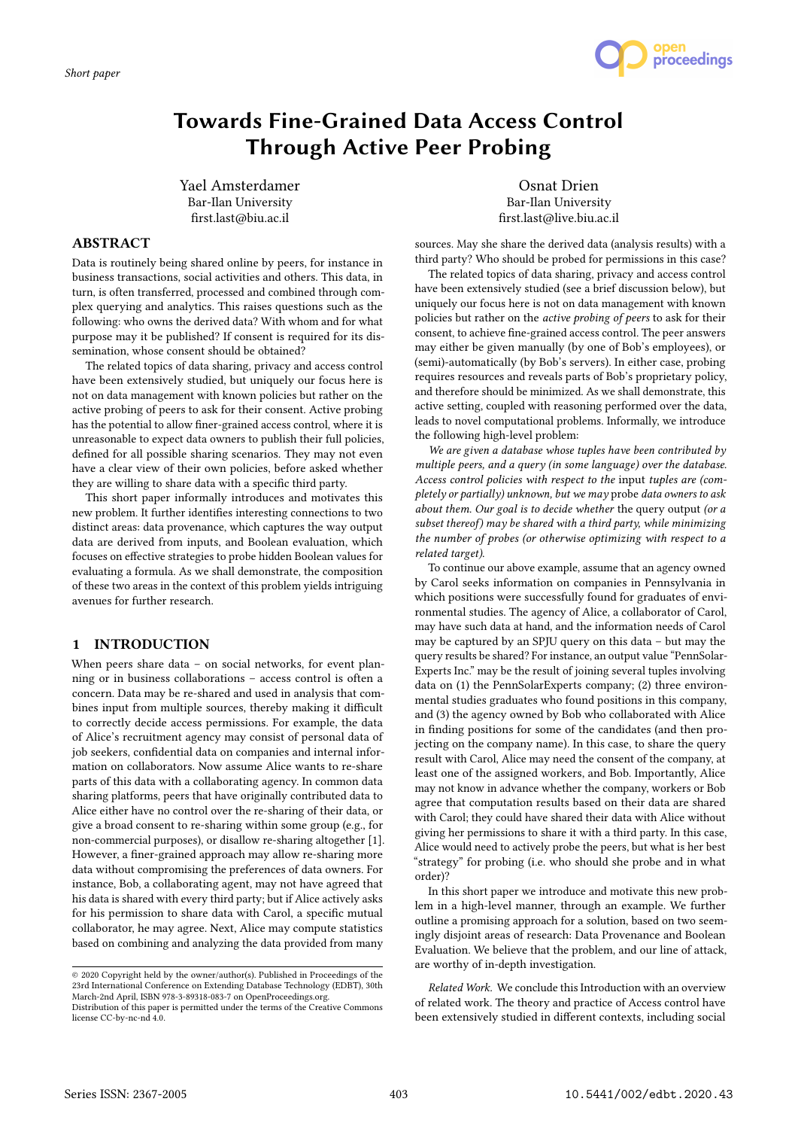

# Towards Fine-Grained Data Access Control Through Active Peer Probing

Yael Amsterdamer Bar-Ilan University first.last@biu.ac.il

Osnat Drien Bar-Ilan University first.last@live.biu.ac.il

## ABSTRACT

Data is routinely being shared online by peers, for instance in business transactions, social activities and others. This data, in turn, is often transferred, processed and combined through complex querying and analytics. This raises questions such as the following: who owns the derived data? With whom and for what purpose may it be published? If consent is required for its dissemination, whose consent should be obtained?

The related topics of data sharing, privacy and access control have been extensively studied, but uniquely our focus here is not on data management with known policies but rather on the active probing of peers to ask for their consent. Active probing has the potential to allow finer-grained access control, where it is unreasonable to expect data owners to publish their full policies, defined for all possible sharing scenarios. They may not even have a clear view of their own policies, before asked whether they are willing to share data with a specific third party.

This short paper informally introduces and motivates this new problem. It further identifies interesting connections to two distinct areas: data provenance, which captures the way output data are derived from inputs, and Boolean evaluation, which focuses on effective strategies to probe hidden Boolean values for evaluating a formula. As we shall demonstrate, the composition of these two areas in the context of this problem yields intriguing avenues for further research.

# 1 INTRODUCTION

When peers share data – on social networks, for event planning or in business collaborations – access control is often a concern. Data may be re-shared and used in analysis that combines input from multiple sources, thereby making it difficult to correctly decide access permissions. For example, the data of Alice's recruitment agency may consist of personal data of job seekers, confidential data on companies and internal information on collaborators. Now assume Alice wants to re-share parts of this data with a collaborating agency. In common data sharing platforms, peers that have originally contributed data to Alice either have no control over the re-sharing of their data, or give a broad consent to re-sharing within some group (e.g., for non-commercial purposes), or disallow re-sharing altogether [1]. However, a finer-grained approach may allow re-sharing more data without compromising the preferences of data owners. For instance, Bob, a collaborating agent, may not have agreed that his data is shared with every third party; but if Alice actively asks for his permission to share data with Carol, a specific mutual collaborator, he may agree. Next, Alice may compute statistics based on combining and analyzing the data provided from many

sources. May she share the derived data (analysis results) with a third party? Who should be probed for permissions in this case?

The related topics of data sharing, privacy and access control have been extensively studied (see a brief discussion below), but uniquely our focus here is not on data management with known policies but rather on the active probing of peers to ask for their consent, to achieve fine-grained access control. The peer answers may either be given manually (by one of Bob's employees), or (semi)-automatically (by Bob's servers). In either case, probing requires resources and reveals parts of Bob's proprietary policy, and therefore should be minimized. As we shall demonstrate, this active setting, coupled with reasoning performed over the data, leads to novel computational problems. Informally, we introduce the following high-level problem:

We are given a database whose tuples have been contributed by multiple peers, and a query (in some language) over the database. Access control policies with respect to the input tuples are (completely or partially) unknown, but we may probe data owners to ask about them. Our goal is to decide whether the query output (or a subset thereof) may be shared with a third party, while minimizing the number of probes (or otherwise optimizing with respect to a related target).

To continue our above example, assume that an agency owned by Carol seeks information on companies in Pennsylvania in which positions were successfully found for graduates of environmental studies. The agency of Alice, a collaborator of Carol, may have such data at hand, and the information needs of Carol may be captured by an SPJU query on this data – but may the query results be shared? For instance, an output value "PennSolar-Experts Inc." may be the result of joining several tuples involving data on (1) the PennSolarExperts company; (2) three environmental studies graduates who found positions in this company, and (3) the agency owned by Bob who collaborated with Alice in finding positions for some of the candidates (and then projecting on the company name). In this case, to share the query result with Carol, Alice may need the consent of the company, at least one of the assigned workers, and Bob. Importantly, Alice may not know in advance whether the company, workers or Bob agree that computation results based on their data are shared with Carol; they could have shared their data with Alice without giving her permissions to share it with a third party. In this case, Alice would need to actively probe the peers, but what is her best "strategy" for probing (i.e. who should she probe and in what order)?

In this short paper we introduce and motivate this new problem in a high-level manner, through an example. We further outline a promising approach for a solution, based on two seemingly disjoint areas of research: Data Provenance and Boolean Evaluation. We believe that the problem, and our line of attack, are worthy of in-depth investigation.

Related Work. We conclude this Introduction with an overview of related work. The theory and practice of Access control have been extensively studied in different contexts, including social

<sup>©</sup> 2020 Copyright held by the owner/author(s). Published in Proceedings of the 23rd International Conference on Extending Database Technology (EDBT), 30th March-2nd April, ISBN 978-3-89318-083-7 on OpenProceedings.org.

Distribution of this paper is permitted under the terms of the Creative Commons license CC-by-nc-nd 4.0.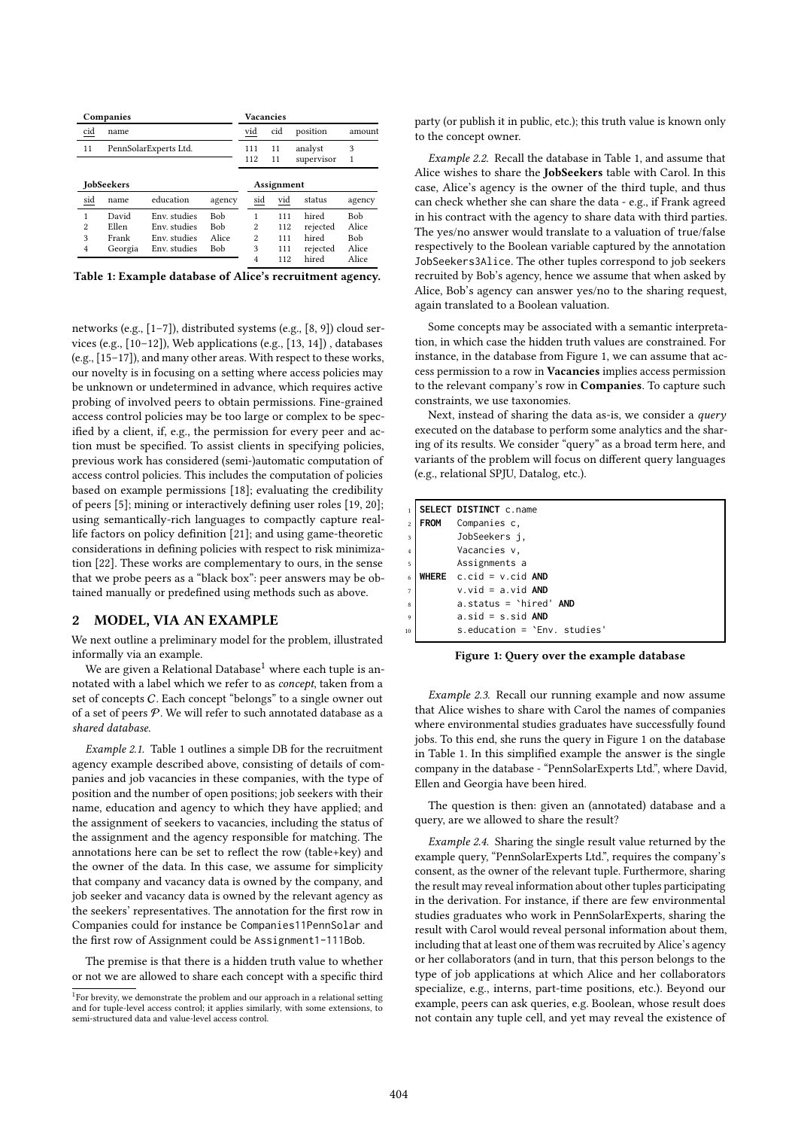| Companies         |                       |              |            | <b>Vacancies</b> |                          |     |            |            |
|-------------------|-----------------------|--------------|------------|------------------|--------------------------|-----|------------|------------|
| $cid$             | name                  |              |            |                  | $\underline{\text{vid}}$ | cid | position   | amount     |
| 11                | PennSolarExperts Ltd. |              |            |                  | 111                      | 11  | analyst    | 3          |
|                   |                       |              |            |                  | 112                      | 11  | supervisor | 1          |
| <b>JobSeekers</b> |                       |              |            |                  | Assignment               |     |            |            |
| sid               | name                  | education    | agency     |                  | sid                      | vid | status     | agency     |
| 1                 | David                 | Env. studies | <b>Bob</b> |                  | 1                        | 111 | hired      | <b>Bob</b> |
| 2                 | Ellen                 | Env. studies | <b>Bob</b> |                  | $\overline{c}$           | 112 | rejected   | Alice      |
| 3                 | Frank                 | Env. studies | Alice      |                  | $\overline{c}$           | 111 | hired      | Bob        |
| $\overline{4}$    | Georgia               | Env. studies | <b>Bob</b> |                  | 3                        | 111 | rejected   | Alice      |
|                   |                       |              |            |                  | $\overline{4}$           | 112 | hired      | Alice      |

Table 1: Example database of Alice's recruitment agency.

networks (e.g., [1–7]), distributed systems (e.g., [8, 9]) cloud services (e.g., [10–12]), Web applications (e.g., [13, 14]) , databases (e.g., [15–17]), and many other areas. With respect to these works, our novelty is in focusing on a setting where access policies may be unknown or undetermined in advance, which requires active probing of involved peers to obtain permissions. Fine-grained access control policies may be too large or complex to be specified by a client, if, e.g., the permission for every peer and action must be specified. To assist clients in specifying policies, previous work has considered (semi-)automatic computation of access control policies. This includes the computation of policies based on example permissions [18]; evaluating the credibility of peers [5]; mining or interactively defining user roles [19, 20]; using semantically-rich languages to compactly capture reallife factors on policy definition [21]; and using game-theoretic considerations in defining policies with respect to risk minimization [22]. These works are complementary to ours, in the sense that we probe peers as a "black box": peer answers may be obtained manually or predefined using methods such as above.

#### 2 MODEL, VIA AN EXAMPLE

We next outline a preliminary model for the problem, illustrated informally via an example.

We are given a Relational Database<sup>1</sup> where each tuple is annotated with a label which we refer to as concept, taken from a set of concepts C. Each concept "belongs" to a single owner out of a set of peers  $P$ . We will refer to such annotated database as a shared database.

Example 2.1. Table 1 outlines a simple DB for the recruitment agency example described above, consisting of details of companies and job vacancies in these companies, with the type of position and the number of open positions; job seekers with their name, education and agency to which they have applied; and the assignment of seekers to vacancies, including the status of the assignment and the agency responsible for matching. The annotations here can be set to reflect the row (table+key) and the owner of the data. In this case, we assume for simplicity that company and vacancy data is owned by the company, and job seeker and vacancy data is owned by the relevant agency as the seekers' representatives. The annotation for the first row in Companies could for instance be Companies11PennSolar and the first row of Assignment could be Assignment1-111Bob.

The premise is that there is a hidden truth value to whether or not we are allowed to share each concept with a specific third party (or publish it in public, etc.); this truth value is known only to the concept owner.

Example 2.2. Recall the database in Table 1, and assume that Alice wishes to share the JobSeekers table with Carol. In this case, Alice's agency is the owner of the third tuple, and thus can check whether she can share the data - e.g., if Frank agreed in his contract with the agency to share data with third parties. The yes/no answer would translate to a valuation of true/false respectively to the Boolean variable captured by the annotation JobSeekers3Alice. The other tuples correspond to job seekers recruited by Bob's agency, hence we assume that when asked by Alice, Bob's agency can answer yes/no to the sharing request, again translated to a Boolean valuation.

Some concepts may be associated with a semantic interpretation, in which case the hidden truth values are constrained. For instance, in the database from Figure 1, we can assume that access permission to a row in Vacancies implies access permission to the relevant company's row in Companies. To capture such constraints, we use taxonomies.

Next, instead of sharing the data as-is, we consider a query executed on the database to perform some analytics and the sharing of its results. We consider "query" as a broad term here, and variants of the problem will focus on different query languages (e.g., relational SPJU, Datalog, etc.).

|                         |             | <b>SELECT DISTINCT</b> c.name       |
|-------------------------|-------------|-------------------------------------|
| $\overline{2}$          | <b>FROM</b> | Companies c.                        |
| $\overline{\mathbf{3}}$ |             | JobSeekers i,                       |
| $\overline{4}$          |             | Vacancies v.                        |
| 5 <sup>1</sup>          |             | Assignments a                       |
|                         |             | WHERE $c.cid = v.cid$ AND           |
| $\overline{7}$          |             | $v$ . vid = a. vid AND              |
| $\mathbf{g}$            |             | $a. status = 'hired' AND$           |
| $\overline{9}$          |             | $a.sid = s.sid$ AND                 |
| 10                      |             | $s$ . education = $"Env$ . studies' |

Figure 1: Query over the example database

Example 2.3. Recall our running example and now assume that Alice wishes to share with Carol the names of companies where environmental studies graduates have successfully found jobs. To this end, she runs the query in Figure 1 on the database in Table 1. In this simplified example the answer is the single company in the database - "PennSolarExperts Ltd.", where David, Ellen and Georgia have been hired.

The question is then: given an (annotated) database and a query, are we allowed to share the result?

Example 2.4. Sharing the single result value returned by the example query, "PennSolarExperts Ltd.", requires the company's consent, as the owner of the relevant tuple. Furthermore, sharing the result may reveal information about other tuples participating in the derivation. For instance, if there are few environmental studies graduates who work in PennSolarExperts, sharing the result with Carol would reveal personal information about them, including that at least one of them was recruited by Alice's agency or her collaborators (and in turn, that this person belongs to the type of job applications at which Alice and her collaborators specialize, e.g., interns, part-time positions, etc.). Beyond our example, peers can ask queries, e.g. Boolean, whose result does not contain any tuple cell, and yet may reveal the existence of

<sup>&</sup>lt;sup>1</sup>For brevity, we demonstrate the problem and our approach in a relational setting and for tuple-level access control; it applies similarly, with some extensions, to semi-structured data and value-level access control.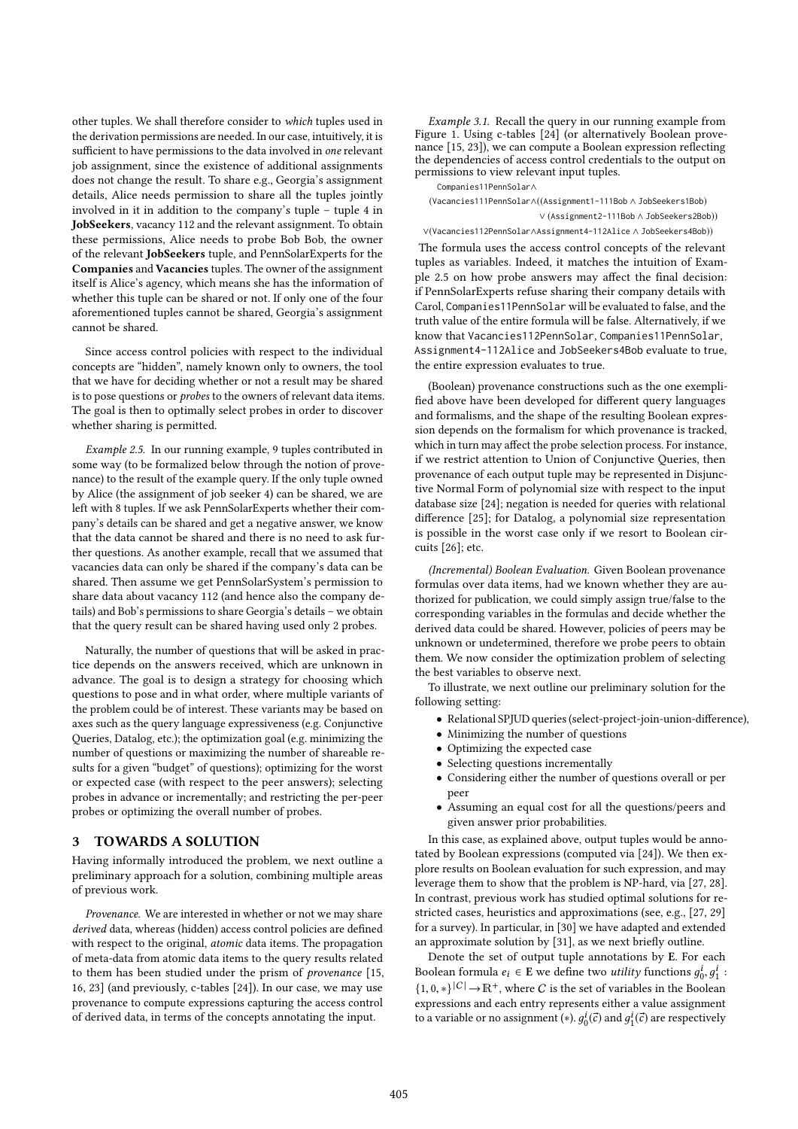other tuples. We shall therefore consider to which tuples used in the derivation permissions are needed. In our case, intuitively, it is sufficient to have permissions to the data involved in one relevant job assignment, since the existence of additional assignments does not change the result. To share e.g., Georgia's assignment details, Alice needs permission to share all the tuples jointly involved in it in addition to the company's tuple – tuple 4 in JobSeekers, vacancy 112 and the relevant assignment. To obtain these permissions, Alice needs to probe Bob Bob, the owner of the relevant JobSeekers tuple, and PennSolarExperts for the Companies and Vacancies tuples. The owner of the assignment itself is Alice's agency, which means she has the information of whether this tuple can be shared or not. If only one of the four aforementioned tuples cannot be shared, Georgia's assignment cannot be shared.

Since access control policies with respect to the individual concepts are "hidden", namely known only to owners, the tool that we have for deciding whether or not a result may be shared is to pose questions or probes to the owners of relevant data items. The goal is then to optimally select probes in order to discover whether sharing is permitted.

Example 2.5. In our running example, 9 tuples contributed in some way (to be formalized below through the notion of provenance) to the result of the example query. If the only tuple owned by Alice (the assignment of job seeker 4) can be shared, we are left with 8 tuples. If we ask PennSolarExperts whether their company's details can be shared and get a negative answer, we know that the data cannot be shared and there is no need to ask further questions. As another example, recall that we assumed that vacancies data can only be shared if the company's data can be shared. Then assume we get PennSolarSystem's permission to share data about vacancy 112 (and hence also the company details) and Bob's permissions to share Georgia's details – we obtain that the query result can be shared having used only 2 probes.

Naturally, the number of questions that will be asked in practice depends on the answers received, which are unknown in advance. The goal is to design a strategy for choosing which questions to pose and in what order, where multiple variants of the problem could be of interest. These variants may be based on axes such as the query language expressiveness (e.g. Conjunctive Queries, Datalog, etc.); the optimization goal (e.g. minimizing the number of questions or maximizing the number of shareable results for a given "budget" of questions); optimizing for the worst or expected case (with respect to the peer answers); selecting probes in advance or incrementally; and restricting the per-peer probes or optimizing the overall number of probes.

#### 3 TOWARDS A SOLUTION

Having informally introduced the problem, we next outline a preliminary approach for a solution, combining multiple areas of previous work.

Provenance. We are interested in whether or not we may share derived data, whereas (hidden) access control policies are defined with respect to the original, atomic data items. The propagation of meta-data from atomic data items to the query results related to them has been studied under the prism of provenance [15, 16, 23] (and previously, c-tables [24]). In our case, we may use provenance to compute expressions capturing the access control of derived data, in terms of the concepts annotating the input.

Example 3.1. Recall the query in our running example from Figure 1. Using c-tables [24] (or alternatively Boolean provenance [15, 23]), we can compute a Boolean expression reflecting the dependencies of access control credentials to the output on permissions to view relevant input tuples.

(Vacancies111PennSolar∧((Assignment1-111Bob ∧ JobSeekers1Bob) ∨ (Assignment2-111Bob ∧ JobSeekers2Bob)) ∨(Vacancies112PennSolar∧Assignment4-112Alice ∧ JobSeekers4Bob))

Companies11PennSolar∧

The formula uses the access control concepts of the relevant tuples as variables. Indeed, it matches the intuition of Example 2.5 on how probe answers may affect the final decision: if PennSolarExperts refuse sharing their company details with Carol, Companies11PennSolar will be evaluated to false, and the truth value of the entire formula will be false. Alternatively, if we know that Vacancies112PennSolar, Companies11PennSolar, Assignment4-112Alice and JobSeekers4Bob evaluate to true, the entire expression evaluates to true.

(Boolean) provenance constructions such as the one exemplified above have been developed for different query languages and formalisms, and the shape of the resulting Boolean expression depends on the formalism for which provenance is tracked, which in turn may affect the probe selection process. For instance, if we restrict attention to Union of Conjunctive Queries, then provenance of each output tuple may be represented in Disjunctive Normal Form of polynomial size with respect to the input database size [24]; negation is needed for queries with relational difference [25]; for Datalog, a polynomial size representation is possible in the worst case only if we resort to Boolean circuits [26]; etc.

(Incremental) Boolean Evaluation. Given Boolean provenance formulas over data items, had we known whether they are authorized for publication, we could simply assign true/false to the corresponding variables in the formulas and decide whether the derived data could be shared. However, policies of peers may be unknown or undetermined, therefore we probe peers to obtain them. We now consider the optimization problem of selecting the best variables to observe next.

To illustrate, we next outline our preliminary solution for the following setting:

- Relational SPJUD queries (select-project-join-union-difference),
- Minimizing the number of questions
- Optimizing the expected case
- Selecting questions incrementally
- Considering either the number of questions overall or per peer
- Assuming an equal cost for all the questions/peers and given answer prior probabilities.

In this case, as explained above, output tuples would be annotated by Boolean expressions (computed via [24]). We then explore results on Boolean evaluation for such expression, and may leverage them to show that the problem is NP-hard, via [27, 28]. In contrast, previous work has studied optimal solutions for restricted cases, heuristics and approximations (see, e.g., [27, 29] for a survey). In particular, in [30] we have adapted and extended an approximate solution by [31], as we next briefly outline.

Denote the set of output tuple annotations by E. For each Boolean formula  $e_i \in \mathbf{E}$  we define two *utility* functions  $g_0^i, g_1^i$ :  $\{1, 0, *\}^{|C|} \to \mathbb{R}^+$ , where C is the set of variables in the Boolean<br>expressions and each entry represents either a value assignment expressions and each entry represents either a value assignment to a variable or no assignment (\*).  $g_0^i(\vec{c})$  and  $g_1^i(\vec{c})$  are respectively